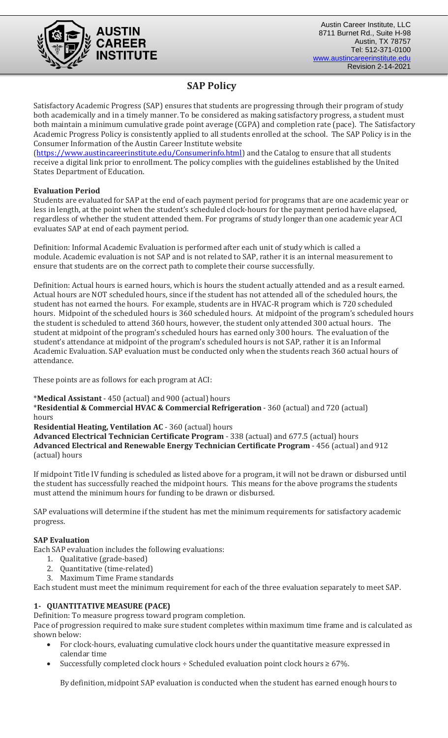

# **SAP Policy**

Satisfactory Academic Progress (SAP) ensures that students are progressing through their program of study both academically and in a timely manner. To be considered as making satisfactory progress, a student must both maintain a minimum cumulative grade point average (CGPA) and completion rate (pace). The Satisfactory Academic Progress Policy is consistently applied to all students enrolled at the school. The SAP Policy is in the Consumer Information of the Austin Career Institute website

[\(https://www.austincareerinstitute.edu/Consumerinfo.html\)](https://www.austincareerinstitute.edu/Consumerinfo.html) and the Catalog to ensure that all students receive a digital link prior to enrollment. The policy complies with the guidelines established by the United States Department of Education.

# **Evaluation Period**

Students are evaluated for SAP at the end of each payment period for programs that are one academic year or less in length, at the point when the student's scheduled clock-hours for the payment period have elapsed, regardless of whether the student attended them. For programs of study longer than one academic year ACI evaluates SAP at end of each payment period.

Definition: Informal Academic Evaluation is performed after each unit of study which is called a module. Academic evaluation is not SAP and is not related to SAP, rather it is an internal measurement to ensure that students are on the correct path to complete their course successfully.

Definition: Actual hours is earned hours, which is hours the student actually attended and as a result earned. Actual hours are NOT scheduled hours, since if the student has not attended all of the scheduled hours, the student has not earned the hours. For example, students are in HVAC-R program which is 720 scheduled hours. Midpoint of the scheduled hours is 360 scheduled hours. At midpoint of the program's scheduled hours the student is scheduled to attend 360 hours, however, the student only attended 300 actual hours. The student at midpoint of the program's scheduled hours has earned only 300 hours. The evaluation of the student's attendance at midpoint of the program's scheduled hours is not SAP, rather it is an Informal Academic Evaluation. SAP evaluation must be conducted only when the students reach 360 actual hours of attendance.

These points are as follows for each program at ACI:

\***Medical Assistant** - 450 (actual) and 900 (actual) hours

\***Residential & Commercial HVAC & Commercial Refrigeration** - 360 (actual) and 720 (actual) hours

**Residential Heating, Ventilation AC** - 360 (actual) hours

**Advanced Electrical Technician Certificate Program** - 338 (actual) and 677.5 (actual) hours **Advanced Electrical and Renewable Energy Technician Certificate Program** - 456 (actual) and 912 (actual) hours

If midpoint Title IV funding is scheduled as listed above for a program, it will not be drawn or disbursed until the student has successfully reached the midpoint hours. This means for the above programs the students must attend the minimum hours for funding to be drawn or disbursed.

SAP evaluations will determine if the student has met the minimum requirements for satisfactory academic progress.

# **SAP Evaluation**

Each SAP evaluation includes the following evaluations:

- 1. Qualitative (grade-based)
- 2. Quantitative (time-related)
- 3. Maximum Time Frame standards

Each student must meet the minimum requirement for each of the three evaluation separately to meet SAP.

# **1- QUANTITATIVE MEASURE (PACE)**

Definition: To measure progress toward program completion.

Pace of progression required to make sure student completes within maximum time frame and is calculated as shown below:

- For clock-hours, evaluating cumulative clock hours under the quantitative measure expressed in calendar time
- Successfully completed clock hours ÷ Scheduled evaluation point clock hours ≥ 67%.

By definition, midpoint SAP evaluation is conducted when the student has earned enough hours to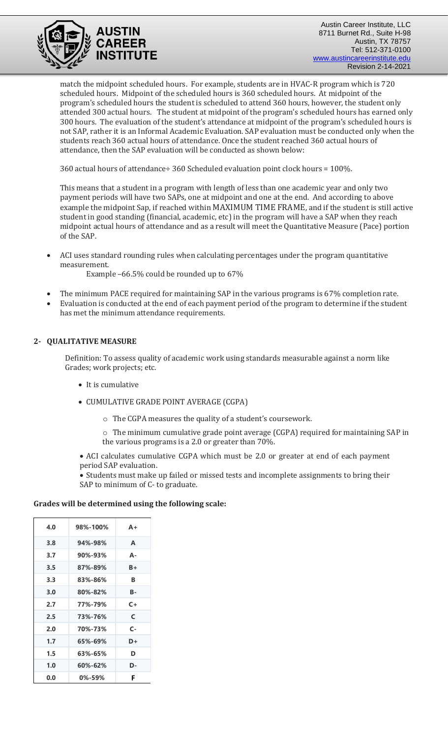

Austin Career Institute, LLC 8711 Burnet Rd., Suite H-98 Austin, TX 78757 Tel: 512-371-0100 [www.austincareerinstitute.edu](http://www.austincareerinstitute.edu/) Revision 2-14-2021

match the midpoint scheduled hours. For example, students are in HVAC-R program which is 720 scheduled hours. Midpoint of the scheduled hours is 360 scheduled hours. At midpoint of the program's scheduled hours the student is scheduled to attend 360 hours, however, the student only attended 300 actual hours. The student at midpoint of the program's scheduled hours has earned only 300 hours. The evaluation of the student's attendance at midpoint of the program's scheduled hours is not SAP, rather it is an Informal Academic Evaluation. SAP evaluation must be conducted only when the students reach 360 actual hours of attendance. Once the student reached 360 actual hours of attendance, then the SAP evaluation will be conducted as shown below:

360 actual hours of attendance÷ 360 Scheduled evaluation point clock hours = 100%.

This means that a student in a program with length of less than one academic year and only two payment periods will have two SAPs, one at midpoint and one at the end. And according to above example the midpoint Sap, if reached within MAXIMUM TIME FRAME, and if the student is still active student in good standing (financial, academic, etc) in the program will have a SAP when they reach midpoint actual hours of attendance and as a result will meet the Quantitative Measure (Pace) portion of the SAP.

• ACI uses standard rounding rules when calculating percentages under the program quantitative measurement.

Example –66.5% could be rounded up to 67%

- The minimum PACE required for maintaining SAP in the various programs is 67% completion rate.
- Evaluation is conducted at the end of each payment period of the program to determine if the student has met the minimum attendance requirements.

### **2- QUALITATIVE MEASURE**

Definition: To assess quality of academic work using standards measurable against a norm like Grades; work projects; etc.

- It is cumulative
- CUMULATIVE GRADE POINT AVERAGE (CGPA)
	- o The CGPA measures the quality of a student's coursework.

o The minimum cumulative grade point average (CGPA) required for maintaining SAP in the various programs is a 2.0 or greater than 70%.

• ACI calculates cumulative CGPA which must be 2.0 or greater at end of each payment period SAP evaluation.

• Students must make up failed or missed tests and incomplete assignments to bring their SAP to minimum of C- to graduate.

#### **Grades will be determined using the following scale:**

| 4.0 | 98%-100%      | $A +$ |
|-----|---------------|-------|
| 3.8 | 94%-98%       | A     |
| 3.7 | 90%-93%       | А-    |
| 3.5 | 87%-89%       | B+    |
| 3.3 | 83%-86%       | R     |
| 3.0 | 80%-82%       | в-    |
| 2.7 | 77%-79%       | $C+$  |
| 2.5 | 73%-76%       | C     |
| 2.0 | 70%-73%       | C-    |
| 1.7 | 65%-69%       | D+    |
| 1.5 | 63%-65%       | D     |
| 1.0 | $60\% - 62\%$ | D-    |
| 0.0 | 0%-59%        | F     |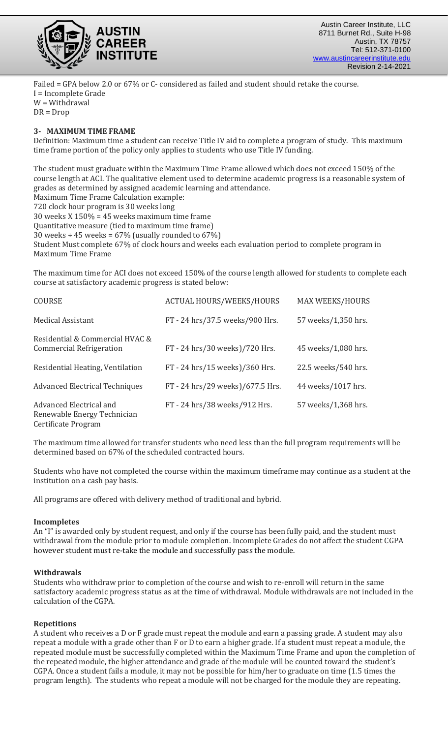

Failed = GPA below 2.0 or 67% or C- considered as failed and student should retake the course. I = Incomplete Grade W = Withdrawal DR = Drop

## **3- MAXIMUM TIME FRAME**

Definition: Maximum time a student can receive Title IV aid to complete a program of study. This maximum time frame portion of the policy only applies to students who use Title IV funding.

The student must graduate within the Maximum Time Frame allowed which does not exceed 150% of the course length at ACI. The qualitative element used to determine academic progress is a reasonable system of grades as determined by assigned academic learning and attendance.

Maximum Time Frame Calculation example: 720 clock hour program is 30 weeks long

30 weeks X 150% = 45 weeks maximum time frame Quantitative measure (tied to maximum time frame) 30 weeks  $\div$  45 weeks = 67% (usually rounded to 67%) Student Must complete 67% of clock hours and weeks each evaluation period to complete program in Maximum Time Frame

The maximum time for ACI does not exceed 150% of the course length allowed for students to complete each course at satisfactory academic progress is stated below:

| <b>COURSE</b>                                                                 | <b>ACTUAL HOURS/WEEKS/HOURS</b>  | <b>MAX WEEKS/HOURS</b> |
|-------------------------------------------------------------------------------|----------------------------------|------------------------|
| <b>Medical Assistant</b>                                                      | FT - 24 hrs/37.5 weeks/900 Hrs.  | 57 weeks/1,350 hrs.    |
| Residential & Commercial HVAC &<br><b>Commercial Refrigeration</b>            | FT - 24 hrs/30 weeks)/720 Hrs.   | 45 weeks/1,080 hrs.    |
| Residential Heating, Ventilation                                              | FT - 24 hrs/15 weeks)/360 Hrs.   | 22.5 weeks/540 hrs.    |
| <b>Advanced Electrical Techniques</b>                                         | FT - 24 hrs/29 weeks)/677.5 Hrs. | 44 weeks/1017 hrs.     |
| Advanced Electrical and<br>Renewable Energy Technician<br>Certificate Program | FT - 24 hrs/38 weeks/912 Hrs.    | 57 weeks/1,368 hrs.    |

The maximum time allowed for transfer students who need less than the full program requirements will be determined based on 67% of the scheduled contracted hours.

Students who have not completed the course within the maximum timeframe may continue as a student at the institution on a cash pay basis.

All programs are offered with delivery method of traditional and hybrid.

#### **Incompletes**

An "I" is awarded only by student request, and only if the course has been fully paid, and the student must withdrawal from the module prior to module completion. Incomplete Grades do not affect the student CGPA however student must re-take the module and successfully pass the module.

# **Withdrawals**

Students who withdraw prior to completion of the course and wish to re-enroll will return in the same satisfactory academic progress status as at the time of withdrawal. Module withdrawals are not included in the calculation of the CGPA.

#### **Repetitions**

A student who receives a D or F grade must repeat the module and earn a passing grade. A student may also repeat a module with a grade other than F or D to earn a higher grade. If a student must repeat a module, the repeated module must be successfully completed within the Maximum Time Frame and upon the completion of the repeated module, the higher attendance and grade of the module will be counted toward the student's CGPA. Once a student fails a module, it may not be possible for him/her to graduate on time (1.5 times the program length). The students who repeat a module will not be charged for the module they are repeating.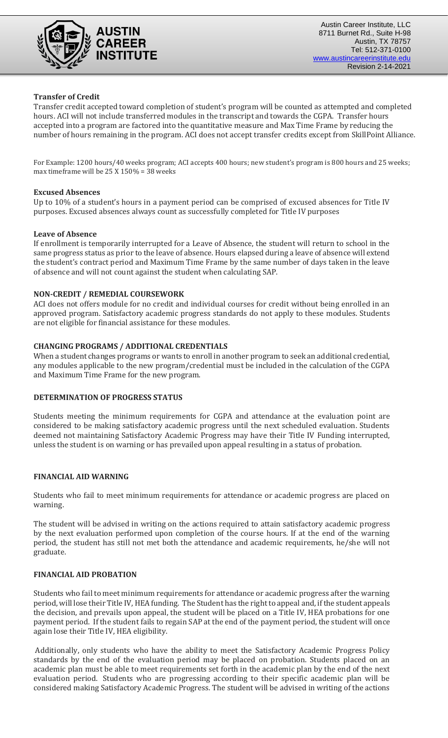

### **Transfer of Credit**

Transfer credit accepted toward completion of student's program will be counted as attempted and completed hours. ACI will not include transferred modules in the transcript and towards the CGPA. Transfer hours accepted into a program are factored into the quantitative measure and Max Time Frame by reducing the number of hours remaining in the program. ACI does not accept transfer credits except from SkillPoint Alliance.

For Example: 1200 hours/40 weeks program; ACI accepts 400 hours; new student's program is 800 hours and 25 weeks; max timeframe will be 25 X 150% = 38 weeks

#### **Excused Absences**

Up to 10% of a student's hours in a payment period can be comprised of excused absences for Title IV purposes. Excused absences always count as successfully completed for Title IV purposes

#### **Leave of Absence**

If enrollment is temporarily interrupted for a Leave of Absence, the student will return to school in the same progress status as prior to the leave of absence. Hours elapsed during a leave of absence will extend the student's contract period and Maximum Time Frame by the same number of days taken in the leave of absence and will not count against the student when calculating SAP.

#### **NON-CREDIT / REMEDIAL COURSEWORK**

ACI does not offers module for no credit and individual courses for credit without being enrolled in an approved program. Satisfactory academic progress standards do not apply to these modules. Students are not eligible for financial assistance for these modules.

#### **CHANGING PROGRAMS / ADDITIONAL CREDENTIALS**

When a student changes programs or wants to enroll in another program to seek an additional credential, any modules applicable to the new program/credential must be included in the calculation of the CGPA and Maximum Time Frame for the new program.

#### **DETERMINATION OF PROGRESS STATUS**

Students meeting the minimum requirements for CGPA and attendance at the evaluation point are considered to be making satisfactory academic progress until the next scheduled evaluation. Students deemed not maintaining Satisfactory Academic Progress may have their Title IV Funding interrupted, unless the student is on warning or has prevailed upon appeal resulting in a status of probation.

#### **FINANCIAL AID WARNING**

Students who fail to meet minimum requirements for attendance or academic progress are placed on warning.

The student will be advised in writing on the actions required to attain satisfactory academic progress by the next evaluation performed upon completion of the course hours. If at the end of the warning period, the student has still not met both the attendance and academic requirements, he/she will not graduate.

#### **FINANCIAL AID PROBATION**

Students who fail to meet minimum requirements for attendance or academic progress after the warning period, will lose their Title IV, HEA funding. The Student has the right to appeal and, if the student appeals the decision, and prevails upon appeal, the student will be placed on a Title IV, HEA probations for one payment period. If the student fails to regain SAP at the end of the payment period, the student will once again lose their Title IV, HEA eligibility.

Additionally, only students who have the ability to meet the Satisfactory Academic Progress Policy standards by the end of the evaluation period may be placed on probation. Students placed on an academic plan must be able to meet requirements set forth in the academic plan by the end of the next evaluation period. Students who are progressing according to their specific academic plan will be considered making Satisfactory Academic Progress. The student will be advised in writing of the actions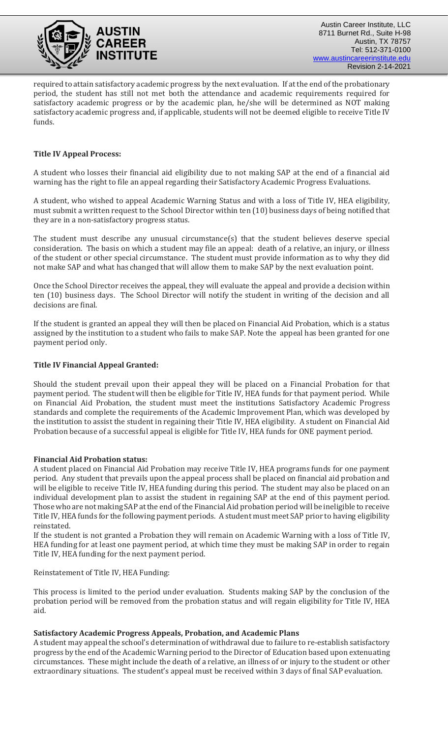

required to attain satisfactory academic progress by the next evaluation. If at the end of the probationary period, the student has still not met both the attendance and academic requirements required for satisfactory academic progress or by the academic plan, he/she will be determined as NOT making satisfactory academic progress and, if applicable, students will not be deemed eligible to receive Title IV funds.

# **Title IV Appeal Process:**

A student who losses their financial aid eligibility due to not making SAP at the end of a financial aid warning has the right to file an appeal regarding their Satisfactory Academic Progress Evaluations.

A student, who wished to appeal Academic Warning Status and with a loss of Title IV, HEA eligibility, must submit a written request to the School Director within ten (10) business days of being notified that they are in a non-satisfactory progress status.

The student must describe any unusual circumstance(s) that the student believes deserve special consideration. The basis on which a student may file an appeal: death of a relative, an injury, or illness of the student or other special circumstance. The student must provide information as to why they did not make SAP and what has changed that will allow them to make SAP by the next evaluation point.

Once the School Director receives the appeal, they will evaluate the appeal and provide a decision within ten (10) business days. The School Director will notify the student in writing of the decision and all decisions are final.

If the student is granted an appeal they will then be placed on Financial Aid Probation, which is a status assigned by the institution to a student who fails to make SAP. Note the appeal has been granted for one payment period only.

# **Title IV Financial Appeal Granted:**

Should the student prevail upon their appeal they will be placed on a Financial Probation for that payment period. The student will then be eligible for Title IV, HEA funds for that payment period. While on Financial Aid Probation, the student must meet the institutions Satisfactory Academic Progress standards and complete the requirements of the Academic Improvement Plan, which was developed by the institution to assist the student in regaining their Title IV, HEA eligibility. A student on Financial Aid Probation because of a successful appeal is eligible for Title IV, HEA funds for ONE payment period.

# **Financial Aid Probation status:**

A student placed on Financial Aid Probation may receive Title IV, HEA programs funds for one payment period. Any student that prevails upon the appeal process shall be placed on financial aid probation and will be eligible to receive Title IV, HEA funding during this period. The student may also be placed on an individual development plan to assist the student in regaining SAP at the end of this payment period. Those who are not making SAP at the end of the Financial Aid probation period will be ineligible to receive Title IV, HEA funds for the following payment periods. A student must meet SAP prior to having eligibility reinstated.

If the student is not granted a Probation they will remain on Academic Warning with a loss of Title IV, HEA funding for at least one payment period, at which time they must be making SAP in order to regain Title IV, HEA funding for the next payment period.

Reinstatement of Title IV, HEA Funding:

This process is limited to the period under evaluation. Students making SAP by the conclusion of the probation period will be removed from the probation status and will regain eligibility for Title IV, HEA aid.

# **Satisfactory Academic Progress Appeals, Probation, and Academic Plans**

A student may appeal the school's determination of withdrawal due to failure to re-establish satisfactory progress by the end of the Academic Warning period to the Director of Education based upon extenuating circumstances. These might include the death of a relative, an illness of or injury to the student or other extraordinary situations. The student's appeal must be received within 3 days of final SAP evaluation.